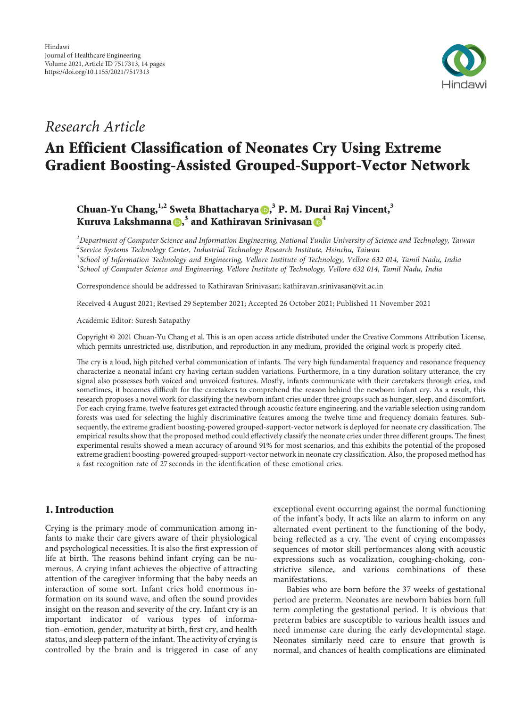

# Research Article

# An Efficient Classification of Neonates Cry Using Extreme Gradient Boosting-Assisted Grouped-Support-Vector Network

Chuan-Yu Chang[,](https://orcid.org/0000-0002-6082-164X) <sup>1,2</sup> Sweta Bhattacharya **(b,<sup>3</sup> P. M. Durai Raj Vincent,** <sup>3</sup> Kuruva Lakshmanna <mark>()</mark>[,](https://orcid.org/0000-0003-3480-4851) $^3$  and Kathiravan Srinivasan () $^4$  $^4$ 

 ${}^{1}$ Department of Computer Science and Information Engineering, National Yunlin University of Science and Technology, Taiwan  $^2$ Service Systems Technology Center, Industrial Technology Research Institute, Hsinchu, Taiwan  $^3$ School of Information Technology and Engineering, Vellore Institute of Technology, Vellore 632 014, Tamil Nadu, India  $^4$ School of Computer Science and Engineering, Vellore Institute of Technology, Vellore 632 014, Tamil Nadu, India

Correspondence should be addressed to Kathiravan Srinivasan; [kathiravan.srinivasan@vit.ac.in](mailto:kathiravan.srinivasan@vit.ac.in)

Received 4 August 2021; Revised 29 September 2021; Accepted 26 October 2021; Published 11 November 2021

Academic Editor: Suresh Satapathy

Copyright © 2021 Chuan-Yu Chang et al. This is an open access article distributed under the [Creative Commons Attribution License](https://creativecommons.org/licenses/by/4.0/), which permits unrestricted use, distribution, and reproduction in any medium, provided the original work is properly cited.

The cry is a loud, high pitched verbal communication of infants. The very high fundamental frequency and resonance frequency characterize a neonatal infant cry having certain sudden variations. Furthermore, in a tiny duration solitary utterance, the cry signal also possesses both voiced and unvoiced features. Mostly, infants communicate with their caretakers through cries, and sometimes, it becomes difficult for the caretakers to comprehend the reason behind the newborn infant cry. As a result, this research proposes a novel work for classifying the newborn infant cries under three groups such as hunger, sleep, and discomfort. For each crying frame, twelve features get extracted through acoustic feature engineering, and the variable selection using random forests was used for selecting the highly discriminative features among the twelve time and frequency domain features. Subsequently, the extreme gradient boosting-powered grouped-support-vector network is deployed for neonate cry classification. The empirical results show that the proposed method could effectively classify the neonate cries under three different groups. The finest experimental results showed a mean accuracy of around 91% for most scenarios, and this exhibits the potential of the proposed extreme gradient boosting-powered grouped-support-vector network in neonate cry classification. Also, the proposed method has a fast recognition rate of 27 seconds in the identification of these emotional cries.

### 1. Introduction

Crying is the primary mode of communication among infants to make their care givers aware of their physiological and psychological necessities. It is also the first expression of life at birth. The reasons behind infant crying can be numerous. A crying infant achieves the objective of attracting attention of the caregiver informing that the baby needs an interaction of some sort. Infant cries hold enormous information on its sound wave, and often the sound provides insight on the reason and severity of the cry. Infant cry is an important indicator of various types of information–emotion, gender, maturity at birth, first cry, and health status, and sleep pattern of the infant. The activity of crying is controlled by the brain and is triggered in case of any

exceptional event occurring against the normal functioning of the infant's body. It acts like an alarm to inform on any alternated event pertinent to the functioning of the body, being reflected as a cry. The event of crying encompasses sequences of motor skill performances along with acoustic expressions such as vocalization, coughing-choking, constrictive silence, and various combinations of these manifestations.

Babies who are born before the 37 weeks of gestational period are preterm. Neonates are newborn babies born full term completing the gestational period. It is obvious that preterm babies are susceptible to various health issues and need immense care during the early developmental stage. Neonates similarly need care to ensure that growth is normal, and chances of health complications are eliminated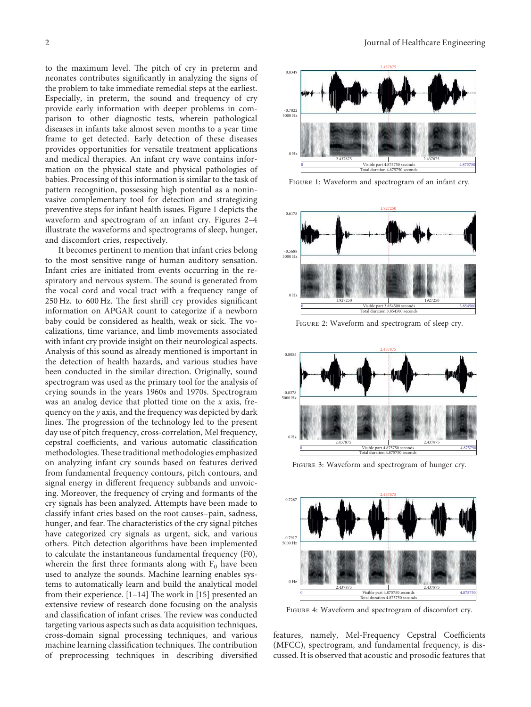to the maximum level. The pitch of cry in preterm and neonates contributes significantly in analyzing the signs of the problem to take immediate remedial steps at the earliest. Especially, in preterm, the sound and frequency of cry provide early information with deeper problems in comparison to other diagnostic tests, wherein pathological diseases in infants take almost seven months to a year time frame to get detected. Early detection of these diseases provides opportunities for versatile treatment applications and medical therapies. An infant cry wave contains information on the physical state and physical pathologies of babies. Processing of this information is similar to the task of pattern recognition, possessing high potential as a noninvasive complementary tool for detection and strategizing preventive steps for infant health issues. Figure 1 depicts the waveform and spectrogram of an infant cry. Figures 2–4 illustrate the waveforms and spectrograms of sleep, hunger, and discomfort cries, respectively.

It becomes pertinent to mention that infant cries belong to the most sensitive range of human auditory sensation. Infant cries are initiated from events occurring in the respiratory and nervous system. The sound is generated from the vocal cord and vocal tract with a frequency range of  $250$  Hz. to  $600$  Hz. The first shrill cry provides significant information on APGAR count to categorize if a newborn baby could be considered as health, weak or sick. The vocalizations, time variance, and limb movements associated with infant cry provide insight on their neurological aspects. Analysis of this sound as already mentioned is important in the detection of health hazards, and various studies have been conducted in the similar direction. Originally, sound spectrogram was used as the primary tool for the analysis of crying sounds in the years 1960s and 1970s. Spectrogram was an analog device that plotted time on the  $x$  axis, frequency on the y axis, and the frequency was depicted by dark lines. The progression of the technology led to the present day use of pitch frequency, cross-correlation, Mel frequency, cepstral coefficients, and various automatic classification methodologies. These traditional methodologies emphasized on analyzing infant cry sounds based on features derived from fundamental frequency contours, pitch contours, and signal energy in different frequency subbands and unvoicing. Moreover, the frequency of crying and formants of the cry signals has been analyzed. Attempts have been made to classify infant cries based on the root causes–pain, sadness, hunger, and fear. The characteristics of the cry signal pitches have categorized cry signals as urgent, sick, and various others. Pitch detection algorithms have been implemented to calculate the instantaneous fundamental frequency (F0), wherein the first three formants along with  $F_0$  have been used to analyze the sounds. Machine learning enables systems to automatically learn and build the analytical model fromtheir experience.  $[1-14]$  $[1-14]$  $[1-14]$  The work in  $[15]$  $[15]$  presented an extensive review of research done focusing on the analysis and classification of infant crises. The review was conducted targeting various aspects such as data acquisition techniques, cross-domain signal processing techniques, and various machine learning classification techniques. The contribution of preprocessing techniques in describing diversified



Figure 1: Waveform and spectrogram of an infant cry.



Figure 2: Waveform and spectrogram of sleep cry.



FIGURE 3: Waveform and spectrogram of hunger cry.



FIGURE 4: Waveform and spectrogram of discomfort cry.

features, namely, Mel-Frequency Cepstral Coefficients (MFCC), spectrogram, and fundamental frequency, is discussed. It is observed that acoustic and prosodic features that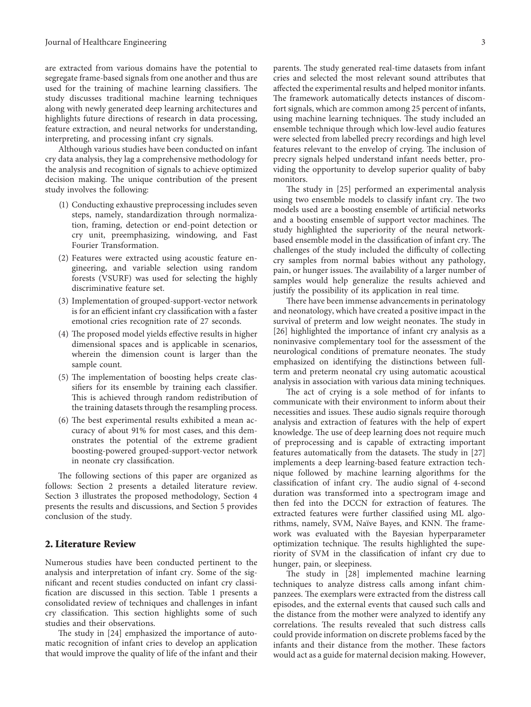are extracted from various domains have the potential to segregate frame-based signals from one another and thus are used for the training of machine learning classifiers. The study discusses traditional machine learning techniques along with newly generated deep learning architectures and highlights future directions of research in data processing, feature extraction, and neural networks for understanding, interpreting, and processing infant cry signals.

Although various studies have been conducted on infant cry data analysis, they lag a comprehensive methodology for the analysis and recognition of signals to achieve optimized decision making. The unique contribution of the present study involves the following:

- (1) Conducting exhaustive preprocessing includes seven steps, namely, standardization through normalization, framing, detection or end-point detection or cry unit, preemphasizing, windowing, and Fast Fourier Transformation.
- (2) Features were extracted using acoustic feature engineering, and variable selection using random forests (VSURF) was used for selecting the highly discriminative feature set.
- (3) Implementation of grouped-support-vector network is for an efficient infant cry classification with a faster emotional cries recognition rate of 27 seconds.
- (4) The proposed model yields effective results in higher dimensional spaces and is applicable in scenarios, wherein the dimension count is larger than the sample count.
- (5) The implementation of boosting helps create classifiers for its ensemble by training each classifier. This is achieved through random redistribution of the training datasets through the resampling process.
- (6) The best experimental results exhibited a mean accuracy of about 91% for most cases, and this demonstrates the potential of the extreme gradient boosting-powered grouped-support-vector network in neonate cry classification.

The following sections of this paper are organized as follows: Section 2 presents a detailed literature review. Section [3](#page-4-0) illustrates the proposed methodology, Section [4](#page-8-0) presents the results and discussions, and Section [5](#page-12-0) provides conclusion of the study.

#### 2. Literature Review

Numerous studies have been conducted pertinent to the analysis and interpretation of infant cry. Some of the significant and recent studies conducted on infant cry classification are discussed in this section. Table [1](#page-3-0) presents a consolidated review of techniques and challenges in infant cry classification. This section highlights some of such studies and their observations.

Thestudy in [[24](#page-13-0)] emphasized the importance of automatic recognition of infant cries to develop an application that would improve the quality of life of the infant and their parents. The study generated real-time datasets from infant cries and selected the most relevant sound attributes that affected the experimental results and helped monitor infants. The framework automatically detects instances of discomfort signals, which are common among 25 percent of infants, using machine learning techniques. The study included an ensemble technique through which low-level audio features were selected from labelled precry recordings and high level features relevant to the envelop of crying. The inclusion of precry signals helped understand infant needs better, providing the opportunity to develop superior quality of baby monitors.

The study in [\[25\]](#page-13-0) performed an experimental analysis using two ensemble models to classify infant cry. The two models used are a boosting ensemble of artificial networks and a boosting ensemble of support vector machines. The study highlighted the superiority of the neural networkbased ensemble model in the classification of infant cry. The challenges of the study included the difficulty of collecting cry samples from normal babies without any pathology, pain, or hunger issues. The availability of a larger number of samples would help generalize the results achieved and justify the possibility of its application in real time.

There have been immense advancements in perinatology and neonatology, which have created a positive impact in the survival of preterm and low weight neonates. The study in [\[26\]](#page-13-0) highlighted the importance of infant cry analysis as a noninvasive complementary tool for the assessment of the neurological conditions of premature neonates. The study emphasized on identifying the distinctions between fullterm and preterm neonatal cry using automatic acoustical analysis in association with various data mining techniques.

The act of crying is a sole method of for infants to communicate with their environment to inform about their necessities and issues. These audio signals require thorough analysis and extraction of features with the help of expert knowledge. The use of deep learning does not require much of preprocessing and is capable of extracting important features automatically from the datasets. The study in  $[27]$ implements a deep learning-based feature extraction technique followed by machine learning algorithms for the classification of infant cry. The audio signal of 4-second duration was transformed into a spectrogram image and then fed into the DCCN for extraction of features. The extracted features were further classified using ML algorithms, namely, SVM, Naïve Bayes, and KNN. The framework was evaluated with the Bayesian hyperparameter optimization technique. The results highlighted the superiority of SVM in the classification of infant cry due to hunger, pain, or sleepiness.

Thestudy in [[28](#page-13-0)] implemented machine learning techniques to analyze distress calls among infant chimpanzees. The exemplars were extracted from the distress call episodes, and the external events that caused such calls and the distance from the mother were analyzed to identify any correlations. The results revealed that such distress calls could provide information on discrete problems faced by the infants and their distance from the mother. These factors would act as a guide for maternal decision making. However,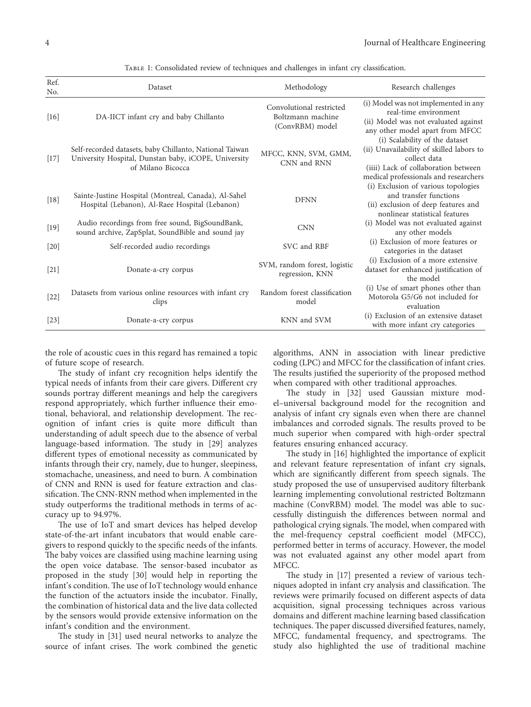<span id="page-3-0"></span>

| Ref.<br>No. | Dataset                                                                                                                              | Methodology                                                      | Research challenges                                                                                                                                                         |
|-------------|--------------------------------------------------------------------------------------------------------------------------------------|------------------------------------------------------------------|-----------------------------------------------------------------------------------------------------------------------------------------------------------------------------|
| $[16]$      | DA-IICT infant cry and baby Chillanto                                                                                                | Convolutional restricted<br>Boltzmann machine<br>(ConvRBM) model | (i) Model was not implemented in any<br>real-time environment<br>(ii) Model was not evaluated against<br>any other model apart from MFCC                                    |
| $[17]$      | Self-recorded datasets, baby Chillanto, National Taiwan<br>University Hospital, Dunstan baby, iCOPE, University<br>of Milano Bicocca | MFCC, KNN, SVM, GMM,<br>CNN and RNN                              | (i) Scalability of the dataset<br>(ii) Unavailability of skilled labors to<br>collect data<br>(iiii) Lack of collaboration between<br>medical professionals and researchers |
| $[18]$      | Sainte-Justine Hospital (Montreal, Canada), Al-Sahel<br>Hospital (Lebanon), Al-Raee Hospital (Lebanon)                               | <b>DFNN</b>                                                      | (i) Exclusion of various topologies<br>and transfer functions<br>(ii) exclusion of deep features and<br>nonlinear statistical features                                      |
| $[19]$      | Audio recordings from free sound, BigSoundBank,<br>sound archive, ZapSplat, SoundBible and sound jay                                 | <b>CNN</b>                                                       | (i) Model was not evaluated against<br>any other models                                                                                                                     |
| $[20]$      | Self-recorded audio recordings                                                                                                       | SVC and RBF                                                      | (i) Exclusion of more features or<br>categories in the dataset                                                                                                              |
| $[21]$      | Donate-a-cry corpus                                                                                                                  | SVM, random forest, logistic<br>regression, KNN                  | (i) Exclusion of a more extensive<br>dataset for enhanced justification of<br>the model                                                                                     |
| $[22]$      | Datasets from various online resources with infant cry<br>clips                                                                      | Random forest classification<br>model                            | (i) Use of smart phones other than<br>Motorola G5/G6 not included for<br>evaluation                                                                                         |
| $[23]$      | Donate-a-cry corpus                                                                                                                  | KNN and SVM                                                      | (i) Exclusion of an extensive dataset<br>with more infant cry categories                                                                                                    |

Table 1: Consolidated review of techniques and challenges in infant cry classification.

the role of acoustic cues in this regard has remained a topic of future scope of research.

The study of infant cry recognition helps identify the typical needs of infants from their care givers. Different cry sounds portray different meanings and help the caregivers respond appropriately, which further influence their emotional, behavioral, and relationship development. The recognition of infant cries is quite more difficult than understanding of adult speech due to the absence of verbal language-based information. The study in [\[29\]](#page-13-0) analyzes different types of emotional necessity as communicated by infants through their cry, namely, due to hunger, sleepiness, stomachache, uneasiness, and need to burn. A combination of CNN and RNN is used for feature extraction and classification. The CNN-RNN method when implemented in the study outperforms the traditional methods in terms of accuracy up to 94.97%.

The use of IoT and smart devices has helped develop state-of-the-art infant incubators that would enable caregivers to respond quickly to the specific needs of the infants. The baby voices are classified using machine learning using the open voice database. The sensor-based incubator as proposed in the study [\[30](#page-13-0)] would help in reporting the infant's condition. The use of IoT technology would enhance the function of the actuators inside the incubator. Finally, the combination of historical data and the live data collected by the sensors would provide extensive information on the infant's condition and the environment.

The study in  $[31]$  used neural networks to analyze the source of infant crises. The work combined the genetic algorithms, ANN in association with linear predictive coding (LPC) and MFCC for the classification of infant cries. The results justified the superiority of the proposed method when compared with other traditional approaches.

Thestudy in [[32](#page-13-0)] used Gaussian mixture model–universal background model for the recognition and analysis of infant cry signals even when there are channel imbalances and corroded signals. The results proved to be much superior when compared with high-order spectral features ensuring enhanced accuracy.

Thestudy in [[16\]](#page-13-0) highlighted the importance of explicit and relevant feature representation of infant cry signals, which are significantly different from speech signals. The study proposed the use of unsupervised auditory filterbank learning implementing convolutional restricted Boltzmann machine (ConvRBM) model. The model was able to successfully distinguish the differences between normal and pathological crying signals. The model, when compared with the mel-frequency cepstral coefficient model (MFCC), performed better in terms of accuracy. However, the model was not evaluated against any other model apart from MFCC.

Thestudy in  $[17]$  $[17]$  presented a review of various techniques adopted in infant cry analysis and classification. The reviews were primarily focused on different aspects of data acquisition, signal processing techniques across various domains and different machine learning based classification techniques. The paper discussed diversified features, namely, MFCC, fundamental frequency, and spectrograms. The study also highlighted the use of traditional machine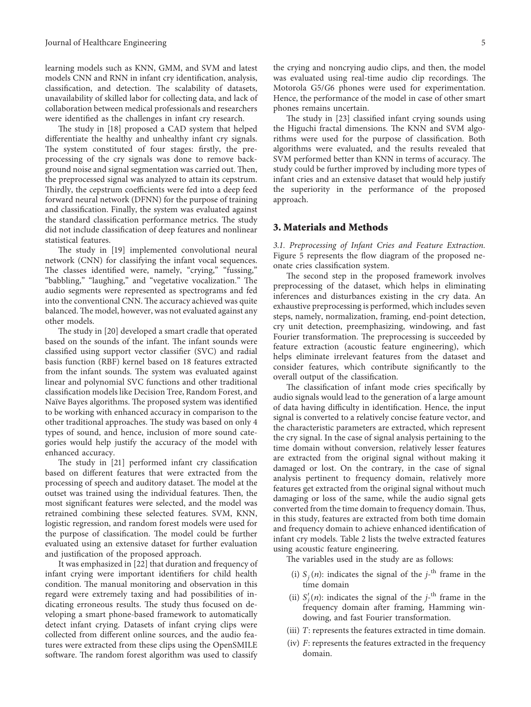<span id="page-4-0"></span>learning models such as KNN, GMM, and SVM and latest models CNN and RNN in infant cry identification, analysis, classification, and detection. The scalability of datasets, unavailability of skilled labor for collecting data, and lack of collaboration between medical professionals and researchers were identified as the challenges in infant cry research.

Thestudy in [[18\]](#page-13-0) proposed a CAD system that helped differentiate the healthy and unhealthy infant cry signals. The system constituted of four stages: firstly, the preprocessing of the cry signals was done to remove background noise and signal segmentation was carried out. Then, the preprocessed signal was analyzed to attain its cepstrum. Thirdly, the cepstrum coefficients were fed into a deep feed forward neural network (DFNN) for the purpose of training and classification. Finally, the system was evaluated against the standard classification performance metrics. The study did not include classification of deep features and nonlinear statistical features.

The study in [\[19](#page-13-0)] implemented convolutional neural network (CNN) for classifying the infant vocal sequences. The classes identified were, namely, "crying," "fussing," "babbling," "laughing," and "vegetative vocalization." The audio segments were represented as spectrograms and fed into the conventional CNN. The accuracy achieved was quite balanced. The model, however, was not evaluated against any other models.

The study in [\[20\]](#page-13-0) developed a smart cradle that operated based on the sounds of the infant. The infant sounds were classified using support vector classifier (SVC) and radial basis function (RBF) kernel based on 18 features extracted from the infant sounds. The system was evaluated against linear and polynomial SVC functions and other traditional classification models like Decision Tree, Random Forest, and Naïve Bayes algorithms. The proposed system was identified to be working with enhanced accuracy in comparison to the other traditional approaches. The study was based on only 4 types of sound, and hence, inclusion of more sound categories would help justify the accuracy of the model with enhanced accuracy.

Thestudy in [[21\]](#page-13-0) performed infant cry classification based on different features that were extracted from the processing of speech and auditory dataset. The model at the outset was trained using the individual features. Then, the most significant features were selected, and the model was retrained combining these selected features. SVM, KNN, logistic regression, and random forest models were used for the purpose of classification. The model could be further evaluated using an extensive dataset for further evaluation and justification of the proposed approach.

It was emphasized in [\[22\]](#page-13-0) that duration and frequency of infant crying were important identifiers for child health condition. The manual monitoring and observation in this regard were extremely taxing and had possibilities of indicating erroneous results. The study thus focused on developing a smart phone-based framework to automatically detect infant crying. Datasets of infant crying clips were collected from different online sources, and the audio features were extracted from these clips using the OpenSMILE software. The random forest algorithm was used to classify

the crying and noncrying audio clips, and then, the model was evaluated using real-time audio clip recordings. The Motorola G5/G6 phones were used for experimentation. Hence, the performance of the model in case of other smart phones remains uncertain.

Thestudy in [[23\]](#page-13-0) classified infant crying sounds using the Higuchi fractal dimensions. The KNN and SVM algorithms were used for the purpose of classification. Both algorithms were evaluated, and the results revealed that SVM performed better than KNN in terms of accuracy. The study could be further improved by including more types of infant cries and an extensive dataset that would help justify the superiority in the performance of the proposed approach.

#### 3. Materials and Methods

3.1. Preprocessing of Infant Cries and Feature Extraction. Figure [5](#page-5-0) represents the flow diagram of the proposed neonate cries classification system.

The second step in the proposed framework involves preprocessing of the dataset, which helps in eliminating inferences and disturbances existing in the cry data. An exhaustive preprocessing is performed, which includes seven steps, namely, normalization, framing, end-point detection, cry unit detection, preemphasizing, windowing, and fast Fourier transformation. The preprocessing is succeeded by feature extraction (acoustic feature engineering), which helps eliminate irrelevant features from the dataset and consider features, which contribute significantly to the overall output of the classification.

The classification of infant mode cries specifically by audio signals would lead to the generation of a large amount of data having difficulty in identification. Hence, the input signal is converted to a relatively concise feature vector, and the characteristic parameters are extracted, which represent the cry signal. In the case of signal analysis pertaining to the time domain without conversion, relatively lesser features are extracted from the original signal without making it damaged or lost. On the contrary, in the case of signal analysis pertinent to frequency domain, relatively more features get extracted from the original signal without much damaging or loss of the same, while the audio signal gets converted from the time domain to frequency domain. Thus, in this study, features are extracted from both time domain and frequency domain to achieve enhanced identification of infant cry models. Table [2](#page-5-0) lists the twelve extracted features using acoustic feature engineering.

The variables used in the study are as follows:

- (i)  $S_j(n)$ : indicates the signal of the  $j$ <sup>-th</sup> frame in the time domain
- (ii)  $S_j'(n)$ : indicates the signal of the  $j$ <sup>-th</sup> frame in the frequency domain after framing, Hamming windowing, and fast Fourier transformation.
- (iii) *T*: represents the features extracted in time domain.
- (iv) *F*: represents the features extracted in the frequency domain.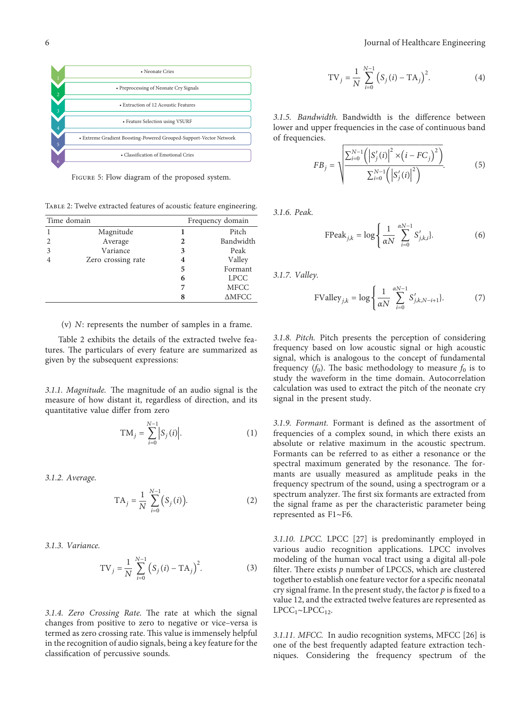<span id="page-5-0"></span>

Figure 5: Flow diagram of the proposed system.

Table 2: Twelve extracted features of acoustic feature engineering.

|                | Time domain        |   | Frequency domain |
|----------------|--------------------|---|------------------|
|                | Magnitude          |   | Pitch            |
| $\mathfrak{D}$ | Average            | 2 | Bandwidth        |
| 3              | Variance           | 3 | Peak             |
|                | Zero crossing rate | 4 | Valley           |
|                |                    | 5 | Formant          |
|                |                    | 6 | <b>LPCC</b>      |
|                |                    |   | <b>MFCC</b>      |
|                |                    | 8 | $\triangle MFCC$ |

(v) *N*: represents the number of samples in a frame.

Table 2 exhibits the details of the extracted twelve features. The particulars of every feature are summarized as given by the subsequent expressions:

3.1.1. Magnitude. The magnitude of an audio signal is the measure of how distant it, regardless of direction, and its quantitative value differ from zero

$$
TM_j = \sum_{i=0}^{N-1} |S_j(i)|.
$$
 (1)

3.1.2. Average.

$$
TA_j = \frac{1}{N} \sum_{i=0}^{N-1} (S_j(i)).
$$
 (2)

3.1.3. Variance.

$$
TV_j = \frac{1}{N} \sum_{i=0}^{N-1} (S_j(i) - TA_j)^2.
$$
 (3)

3.1.4. Zero Crossing Rate. The rate at which the signal changes from positive to zero to negative or vice–versa is termed as zero crossing rate. This value is immensely helpful in the recognition of audio signals, being a key feature for the classification of percussive sounds.

$$
TV_j = \frac{1}{N} \sum_{i=0}^{N-1} (S_j(i) - TA_j)^2.
$$
 (4)

3.1.5. Bandwidth. Bandwidth is the difference between lower and upper frequencies in the case of continuous band of frequencies.

$$
FB_{j} = \sqrt{\frac{\sum_{i=0}^{N-1} (|S'_{j}(i)|^{2} \times (i - FC_{j})^{2})}{\sum_{i=0}^{N-1} (|S'_{j}(i)|^{2})}}.
$$
 (5)

3.1.6. Peak.

$$
\text{FPeak}_{j,k} = \log \left\{ \frac{1}{\alpha N} \sum_{i=0}^{\alpha N-1} S'_{j,k,i} \right\}.
$$
 (6)

3.1.7. Valley.

FValley<sub>j,k</sub> = 
$$
\log \left\{ \frac{1}{\alpha N} \sum_{i=0}^{\alpha N-1} S'_{j,k,N-i+1} \right\}
$$
. (7)

3.1.8. Pitch. Pitch presents the perception of considering frequency based on low acoustic signal or high acoustic signal, which is analogous to the concept of fundamental frequency  $(f_0)$ . The basic methodology to measure  $f_0$  is to study the waveform in the time domain. Autocorrelation calculation was used to extract the pitch of the neonate cry signal in the present study.

3.1.9. Formant. Formant is defined as the assortment of frequencies of a complex sound, in which there exists an absolute or relative maximum in the acoustic spectrum. Formants can be referred to as either a resonance or the spectral maximum generated by the resonance. The formants are usually measured as amplitude peaks in the frequency spectrum of the sound, using a spectrogram or a spectrum analyzer. The first six formants are extracted from the signal frame as per the characteristic parameter being represented as F1∼F6.

3.1.10. LPCC. LPCC[[27](#page-13-0)] is predominantly employed in various audio recognition applications. LPCC involves modeling of the human vocal tract using a digital all-pole filter. There exists  $p$  number of LPCCS, which are clustered together to establish one feature vector for a specific neonatal cry signal frame. In the present study, the factor  $p$  is fixed to a value 12, and the extracted twelve features are represented as  $LPCC_1~\sim LPCC_1$ <sub>2</sub>.

3.1.11. MFCC. In audio recognition systems, MFCC[[26](#page-13-0)] is one of the best frequently adapted feature extraction techniques. Considering the frequency spectrum of the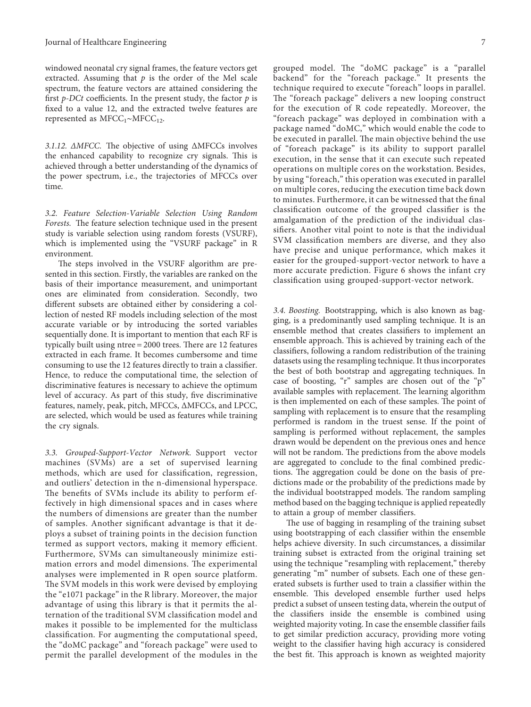windowed neonatal cry signal frames, the feature vectors get extracted. Assuming that  $p$  is the order of the Mel scale spectrum, the feature vectors are attained considering the first *p*-*DCt* coefficients. In the present study, the factor  $p$  is fixed to a value 12, and the extracted twelve features are represented as MFCC<sub>1</sub>∼MFCC<sub>12</sub>.

3.1.12.  $\triangle MFCC$ . The objective of using  $\triangle MFCCs$  involves the enhanced capability to recognize cry signals. This is achieved through a better understanding of the dynamics of the power spectrum, i.e., the trajectories of MFCCs over time.

3.2. Feature Selection-Variable Selection Using Random Forests. The feature selection technique used in the present study is variable selection using random forests (VSURF), which is implemented using the "VSURF package" in R environment.

The steps involved in the VSURF algorithm are presented in this section. Firstly, the variables are ranked on the basis of their importance measurement, and unimportant ones are eliminated from consideration. Secondly, two different subsets are obtained either by considering a collection of nested RF models including selection of the most accurate variable or by introducing the sorted variables sequentially done. It is important to mention that each RF is typically built using  $n$  tree = 2000 trees. There are 12 features extracted in each frame. It becomes cumbersome and time consuming to use the 12 features directly to train a classifier. Hence, to reduce the computational time, the selection of discriminative features is necessary to achieve the optimum level of accuracy. As part of this study, five discriminative features, namely, peak, pitch, MFCCs, ΔMFCCs, and LPCC, are selected, which would be used as features while training the cry signals.

3.3. Grouped-Support-Vector Network. Support vector machines (SVMs) are a set of supervised learning methods, which are used for classification, regression, and outliers' detection in the n-dimensional hyperspace. The benefits of SVMs include its ability to perform effectively in high dimensional spaces and in cases where the numbers of dimensions are greater than the number of samples. Another significant advantage is that it deploys a subset of training points in the decision function termed as support vectors, making it memory efficient. Furthermore, SVMs can simultaneously minimize estimation errors and model dimensions. The experimental analyses were implemented in R open source platform. The SVM models in this work were devised by employing the "e1071 package" in the R library. Moreover, the major advantage of using this library is that it permits the alternation of the traditional SVM classification model and makes it possible to be implemented for the multiclass classification. For augmenting the computational speed, the "doMC package" and "foreach package" were used to permit the parallel development of the modules in the

grouped model. The "doMC package" is a "parallel backend" for the "foreach package." It presents the technique required to execute "foreach" loops in parallel. The "foreach package" delivers a new looping construct for the execution of R code repeatedly. Moreover, the "foreach package" was deployed in combination with a package named "doMC," which would enable the code to be executed in parallel. The main objective behind the use of "foreach package" is its ability to support parallel execution, in the sense that it can execute such repeated operations on multiple cores on the workstation. Besides, by using "foreach," this operation was executed in parallel on multiple cores, reducing the execution time back down to minutes. Furthermore, it can be witnessed that the final classification outcome of the grouped classifier is the amalgamation of the prediction of the individual classifiers. Another vital point to note is that the individual SVM classification members are diverse, and they also have precise and unique performance, which makes it easier for the grouped-support-vector network to have a more accurate prediction. Figure [6](#page-7-0) shows the infant cry classification using grouped-support-vector network.

3.4. Boosting. Bootstrapping, which is also known as bagging, is a predominantly used sampling technique. It is an ensemble method that creates classifiers to implement an ensemble approach. This is achieved by training each of the classifiers, following a random redistribution of the training datasets using the resampling technique. It thus incorporates the best of both bootstrap and aggregating techniques. In case of boosting, "r" samples are chosen out of the "p" available samples with replacement. The learning algorithm is then implemented on each of these samples. The point of sampling with replacement is to ensure that the resampling performed is random in the truest sense. If the point of sampling is performed without replacement, the samples drawn would be dependent on the previous ones and hence will not be random. The predictions from the above models are aggregated to conclude to the final combined predictions. The aggregation could be done on the basis of predictions made or the probability of the predictions made by the individual bootstrapped models. The random sampling method based on the bagging technique is applied repeatedly to attain a group of member classifiers.

The use of bagging in resampling of the training subset using bootstrapping of each classifier within the ensemble helps achieve diversity. In such circumstances, a dissimilar training subset is extracted from the original training set using the technique "resampling with replacement," thereby generating "m" number of subsets. Each one of these generated subsets is further used to train a classifier within the ensemble. This developed ensemble further used helps predict a subset of unseen testing data, wherein the output of the classifiers inside the ensemble is combined using weighted majority voting. In case the ensemble classifier fails to get similar prediction accuracy, providing more voting weight to the classifier having high accuracy is considered the best fit. This approach is known as weighted majority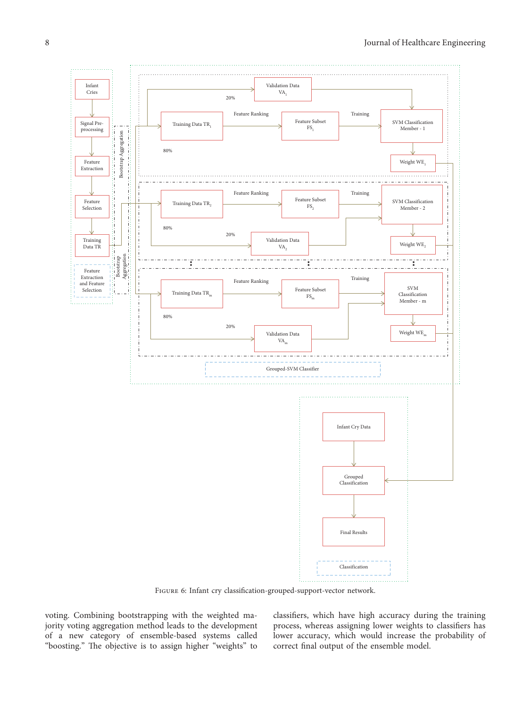<span id="page-7-0"></span>

Figure 6: Infant cry classification-grouped-support-vector network.

voting. Combining bootstrapping with the weighted majority voting aggregation method leads to the development of a new category of ensemble-based systems called "boosting." The objective is to assign higher "weights" to

classifiers, which have high accuracy during the training process, whereas assigning lower weights to classifiers has lower accuracy, which would increase the probability of correct final output of the ensemble model.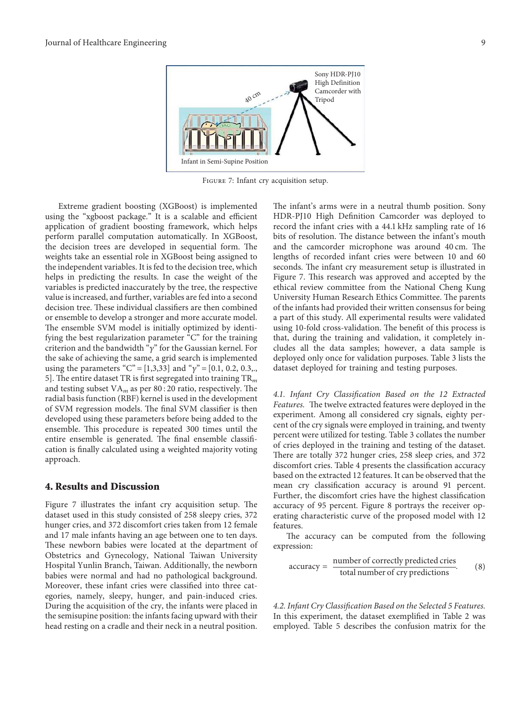<span id="page-8-0"></span>

Figure 7: Infant cry acquisition setup.

Extreme gradient boosting (XGBoost) is implemented using the "xgboost package." It is a scalable and efficient application of gradient boosting framework, which helps perform parallel computation automatically. In XGBoost, the decision trees are developed in sequential form. The weights take an essential role in XGBoost being assigned to the independent variables. It is fed to the decision tree, which helps in predicting the results. In case the weight of the variables is predicted inaccurately by the tree, the respective value is increased, and further, variables are fed into a second decision tree. These individual classifiers are then combined or ensemble to develop a stronger and more accurate model. The ensemble SVM model is initially optimized by identifying the best regularization parameter "C" for the training criterion and the bandwidth "y" for the Gaussian kernel. For the sake of achieving the same, a grid search is implemented using the parameters "C" = [1,3,33] and " $\gamma$ " = [0.1, 0.2, 0.3,., 5]. The entire dataset TR is first segregated into training  $TR<sub>m</sub>$ and testing subset  $VA<sub>m</sub>$  as per 80 : 20 ratio, respectively. The radial basis function (RBF) kernel is used in the development of SVM regression models. The final SVM classifier is then developed using these parameters before being added to the ensemble. This procedure is repeated 300 times until the entire ensemble is generated. The final ensemble classification is finally calculated using a weighted majority voting approach.

#### 4. Results and Discussion

Figure  $7$  illustrates the infant cry acquisition setup. The dataset used in this study consisted of 258 sleepy cries, 372 hunger cries, and 372 discomfort cries taken from 12 female and 17 male infants having an age between one to ten days. These newborn babies were located at the department of Obstetrics and Gynecology, National Taiwan University Hospital Yunlin Branch, Taiwan. Additionally, the newborn babies were normal and had no pathological background. Moreover, these infant cries were classified into three categories, namely, sleepy, hunger, and pain-induced cries. During the acquisition of the cry, the infants were placed in the semisupine position: the infants facing upward with their head resting on a cradle and their neck in a neutral position.

The infant's arms were in a neutral thumb position. Sony HDR-PJ10 High Definition Camcorder was deployed to record the infant cries with a 44.1 kHz sampling rate of 16 bits of resolution. The distance between the infant's mouth and the camcorder microphone was around 40 cm. The lengths of recorded infant cries were between 10 and 60 seconds. The infant cry measurement setup is illustrated in Figure 7. This research was approved and accepted by the ethical review committee from the National Cheng Kung University Human Research Ethics Committee. The parents of the infants had provided their written consensus for being a part of this study. All experimental results were validated using 10-fold cross-validation. The benefit of this process is that, during the training and validation, it completely includes all the data samples; however, a data sample is deployed only once for validation purposes. Table [3](#page-9-0) lists the dataset deployed for training and testing purposes.

4.1. Infant Cry Classification Based on the 12 Extracted Features. The twelve extracted features were deployed in the experiment. Among all considered cry signals, eighty percent of the cry signals were employed in training, and twenty percent were utilized for testing. Table [3](#page-9-0) collates the number of cries deployed in the training and testing of the dataset. There are totally 372 hunger cries, 258 sleep cries, and 372 discomfort cries. Table [4](#page-9-0) presents the classification accuracy based on the extracted 12 features. It can be observed that the mean cry classification accuracy is around 91 percent. Further, the discomfort cries have the highest classification accuracy of 95 percent. Figure [8](#page-9-0) portrays the receiver operating characteristic curve of the proposed model with 12 features.

The accuracy can be computed from the following expression:

accuracy = 
$$
\frac{\text{number of correctly predicted crises}}{\text{total number of cry predictions}}.
$$
 (8)

4.2. Infant Cry Classification Based on the Selected 5 Features. In this experiment, the dataset exemplified in Table [2](#page-5-0) was employed. Table [5](#page-9-0) describes the confusion matrix for the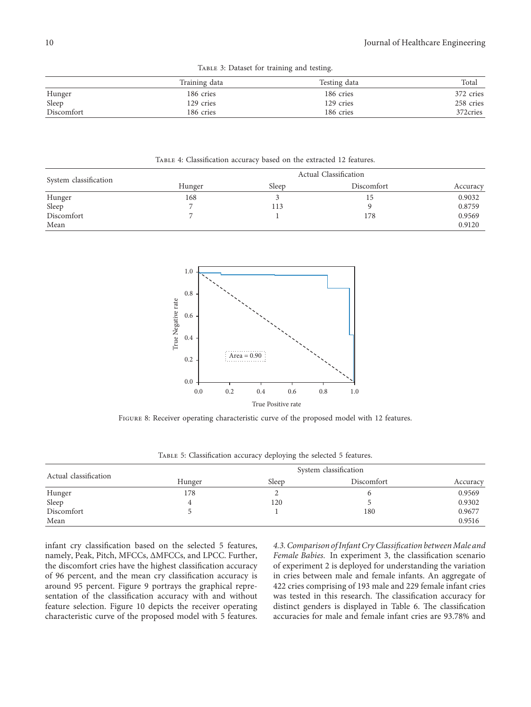|  |  |  |  | TABLE 3: Dataset for training and testing. |  |  |
|--|--|--|--|--------------------------------------------|--|--|
|--|--|--|--|--------------------------------------------|--|--|

<span id="page-9-0"></span>

|            | Training data | Testing data | Total     |
|------------|---------------|--------------|-----------|
| Hunger     | 186 cries     | 186 cries    | 372 cries |
| Sleep      | 129 cries     | 129 cries    | 258 cries |
| Discomfort | 186 cries     | 186 cries    | 372cries  |

Table 4: Classification accuracy based on the extracted 12 features.

|                       | Actual Classification |       |            |          |  |  |
|-----------------------|-----------------------|-------|------------|----------|--|--|
| System classification | Hunger                | Sleep | Discomfort | Accuracy |  |  |
| Hunger                | 168                   |       | 15         | 0.9032   |  |  |
| Sleep                 |                       | 113   |            | 0.8759   |  |  |
| Discomfort            |                       |       | 178        | 0.9569   |  |  |
| Mean                  |                       |       |            | 0.9120   |  |  |



FIGURE 8: Receiver operating characteristic curve of the proposed model with 12 features.

|  | TABLE 5: Classification accuracy deploying the selected 5 features. |  |  |  |
|--|---------------------------------------------------------------------|--|--|--|
|  |                                                                     |  |  |  |

| Actual classification | System classification |       |            |          |  |  |
|-----------------------|-----------------------|-------|------------|----------|--|--|
|                       | Hunger                | Sleep | Discomfort | Accuracy |  |  |
| Hunger                | 178                   |       |            | 0.9569   |  |  |
| Sleep                 |                       | 120   |            | 0.9302   |  |  |
| Discomfort            |                       |       | 180        | 0.9677   |  |  |
| Mean                  |                       |       |            | 0.9516   |  |  |

infant cry classification based on the selected 5 features, namely, Peak, Pitch, MFCCs, ΔMFCCs, and LPCC. Further, the discomfort cries have the highest classification accuracy of 96 percent, and the mean cry classification accuracy is around 95 percent. Figure [9](#page-10-0) portrays the graphical representation of the classification accuracy with and without feature selection. Figure [10](#page-10-0) depicts the receiver operating characteristic curve of the proposed model with 5 features.

4.3. Comparison of Infant Cry Classification between Male and Female Babies. In experiment 3, the classification scenario of experiment 2 is deployed for understanding the variation in cries between male and female infants. An aggregate of 422 cries comprising of 193 male and 229 female infant cries was tested in this research. The classification accuracy for distinct genders is displayed in Table [6.](#page-10-0) The classification accuracies for male and female infant cries are 93.78% and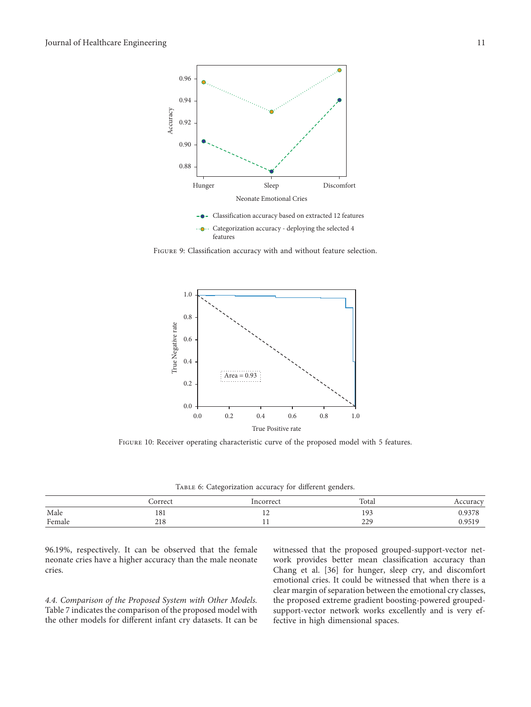<span id="page-10-0"></span>

FIGURE 9: Classification accuracy with and without feature selection.



Figure 10: Receiver operating characteristic curve of the proposed model with 5 features.

TABLE 6: Categorization accuracy for different genders.

|        | Correct | Incorrect | Total | Accuracy |
|--------|---------|-----------|-------|----------|
| Male   | 181     | <b>I</b>  | 193   | 0.9378   |
| Female | 218     | . .       | 229   | 0.9519   |

96.19%, respectively. It can be observed that the female neonate cries have a higher accuracy than the male neonate cries.

4.4. Comparison of the Proposed System with Other Models. Table [7](#page-11-0) indicates the comparison of the proposed model with the other models for different infant cry datasets. It can be witnessed that the proposed grouped-support-vector network provides better mean classification accuracy than Chang et al. [36] for hunger, sleep cry, and discomfort emotional cries. It could be witnessed that when there is a clear margin of separation between the emotional cry classes, the proposed extreme gradient boosting-powered groupedsupport-vector network works excellently and is very effective in high dimensional spaces.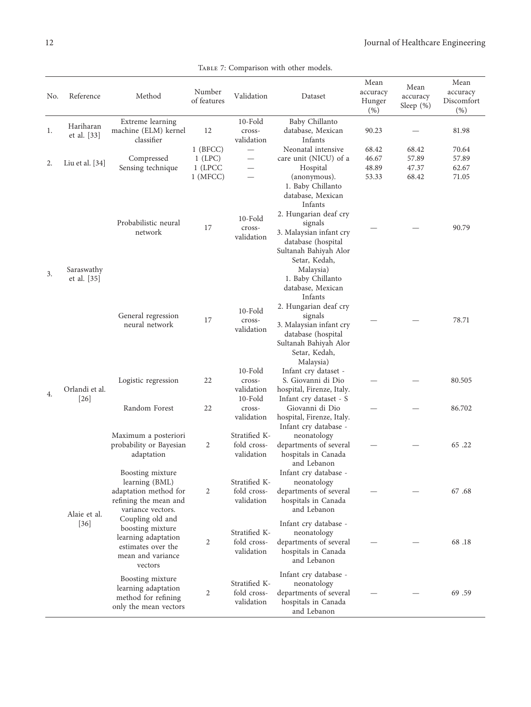<span id="page-11-0"></span>

| No. | Reference                 | Method                                                                                                            | Number<br>of features                            | Validation                                           | Dataset                                                                                                                                                                                                            | Mean<br>accuracy<br>Hunger       | Mean<br>accuracy<br>Sleep $(\%)$ | Mean<br>accuracy<br>Discomfort   |
|-----|---------------------------|-------------------------------------------------------------------------------------------------------------------|--------------------------------------------------|------------------------------------------------------|--------------------------------------------------------------------------------------------------------------------------------------------------------------------------------------------------------------------|----------------------------------|----------------------------------|----------------------------------|
| 1.  | Hariharan<br>et al. [33]  | Extreme learning<br>machine (ELM) kernel<br>classifier                                                            | 12                                               | 10-Fold<br>cross-<br>validation                      | Baby Chillanto<br>database, Mexican<br>Infants                                                                                                                                                                     | (% )<br>90.23                    |                                  | $(\% )$<br>81.98                 |
| 2.  | Liu et al. [34]           | Compressed<br>Sensing technique                                                                                   | $1$ (BFCC)<br>$1$ (LPC)<br>1 (LPCC<br>$1$ (MFCC) | $\overline{\phantom{0}}$<br>$\overline{\phantom{0}}$ | Neonatal intensive<br>care unit (NICU) of a<br>Hospital<br>(anonymous).                                                                                                                                            | 68.42<br>46.67<br>48.89<br>53.33 | 68.42<br>57.89<br>47.37<br>68.42 | 70.64<br>57.89<br>62.67<br>71.05 |
| 3.  | Saraswathy<br>et al. [35] | Probabilistic neural<br>network                                                                                   | 17                                               | $10$ -Fold<br>cross-<br>validation                   | 1. Baby Chillanto<br>database, Mexican<br>Infants<br>2. Hungarian deaf cry<br>signals<br>3. Malaysian infant cry<br>database (hospital<br>Sultanah Bahiyah Alor<br>Setar, Kedah,<br>Malaysia)<br>1. Baby Chillanto |                                  |                                  | 90.79                            |
|     |                           | General regression<br>neural network                                                                              | 17                                               | $10$ -Fold<br>cross-<br>validation                   | database, Mexican<br>Infants<br>2. Hungarian deaf cry<br>signals<br>3. Malaysian infant cry<br>database (hospital<br>Sultanah Bahiyah Alor<br>Setar, Kedah,                                                        |                                  |                                  | 78.71                            |
| 4.  | Orlandi et al.            | Logistic regression                                                                                               | 22                                               | $10$ -Fold<br>cross-<br>validation                   | Malaysia)<br>Infant cry dataset -<br>S. Giovanni di Dio<br>hospital, Firenze, Italy.                                                                                                                               |                                  |                                  | 80.505                           |
|     | $[26]$                    | Random Forest                                                                                                     | 22                                               | 10-Fold<br>cross-<br>validation                      | Infant cry dataset - S<br>Giovanni di Dio<br>hospital, Firenze, Italy.<br>Infant cry database -                                                                                                                    |                                  |                                  | 86.702                           |
|     |                           | Maximum a posteriori<br>probability or Bayesian<br>adaptation                                                     | $\overline{2}$                                   | Stratified K-<br>fold cross-<br>validation           | neonatology<br>departments of several<br>hospitals in Canada<br>and Lebanon                                                                                                                                        |                                  |                                  | 65.22                            |
|     | Alaie et al.              | Boosting mixture<br>learning (BML)<br>adaptation method for<br>refining the mean and<br>variance vectors.         | 2                                                | Stratified K-<br>fold cross-<br>validation           | Infant cry database -<br>neonatology<br>departments of several<br>hospitals in Canada<br>and Lebanon                                                                                                               |                                  |                                  | 67.68                            |
|     | $[36]$                    | Coupling old and<br>boosting mixture<br>learning adaptation<br>estimates over the<br>mean and variance<br>vectors | 2                                                | Stratified K-<br>fold cross-<br>validation           | Infant cry database -<br>neonatology<br>departments of several<br>hospitals in Canada<br>and Lebanon                                                                                                               |                                  |                                  | 68.18                            |
|     |                           | Boosting mixture<br>learning adaptation<br>method for refining<br>only the mean vectors                           | 2                                                | Stratified K-<br>fold cross-<br>validation           | Infant cry database -<br>neonatology<br>departments of several<br>hospitals in Canada<br>and Lebanon                                                                                                               |                                  |                                  | 69.59                            |

TABLE 7: Comparison with other models.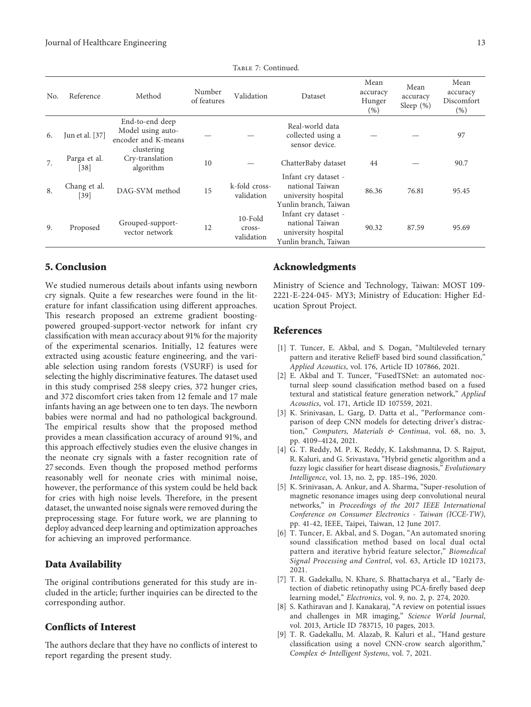TABLE 7: Continued.

<span id="page-12-0"></span>

| No. | Reference              | Method                                                                    | Number<br>of features | Validation                         | Dataset                                                                                 | Mean<br>accuracy<br>Hunger<br>(% ) | Mean<br>accuracy<br>Sleep $(\%)$ | Mean<br>accuracy<br>Discomfort<br>$(\%)$ |
|-----|------------------------|---------------------------------------------------------------------------|-----------------------|------------------------------------|-----------------------------------------------------------------------------------------|------------------------------------|----------------------------------|------------------------------------------|
| 6.  | Jun et al. [37]        | End-to-end deep<br>Model using auto-<br>encoder and K-means<br>clustering |                       |                                    | Real-world data<br>collected using a<br>sensor device.                                  |                                    |                                  | 97                                       |
| 7.  | Parga et al.<br>$[38]$ | Cry-translation<br>algorithm                                              | 10                    |                                    | ChatterBaby dataset                                                                     | 44                                 |                                  | 90.7                                     |
| 8.  | Chang et al.<br>$[39]$ | DAG-SVM method                                                            | 15                    | k-fold cross-<br>validation        | Infant cry dataset -<br>national Taiwan<br>university hospital<br>Yunlin branch, Taiwan | 86.36                              | 76.81                            | 95.45                                    |
| 9.  | Proposed               | Grouped-support-<br>vector network                                        | 12                    | $10$ -Fold<br>cross-<br>validation | Infant cry dataset -<br>national Taiwan<br>university hospital<br>Yunlin branch, Taiwan | 90.32                              | 87.59                            | 95.69                                    |

### 5. Conclusion

We studied numerous details about infants using newborn cry signals. Quite a few researches were found in the literature for infant classification using different approaches. This research proposed an extreme gradient boostingpowered grouped-support-vector network for infant cry classification with mean accuracy about 91% for the majority of the experimental scenarios. Initially, 12 features were extracted using acoustic feature engineering, and the variable selection using random forests (VSURF) is used for selecting the highly discriminative features. The dataset used in this study comprised 258 sleepy cries, 372 hunger cries, and 372 discomfort cries taken from 12 female and 17 male infants having an age between one to ten days. The newborn babies were normal and had no pathological background. The empirical results show that the proposed method provides a mean classification accuracy of around 91%, and this approach effectively studies even the elusive changes in the neonate cry signals with a faster recognition rate of 27 seconds. Even though the proposed method performs reasonably well for neonate cries with minimal noise, however, the performance of this system could be held back for cries with high noise levels. Therefore, in the present dataset, the unwanted noise signals were removed during the preprocessing stage. For future work, we are planning to deploy advanced deep learning and optimization approaches for achieving an improved performance.

#### Data Availability

The original contributions generated for this study are included in the article; further inquiries can be directed to the corresponding author.

# Conflicts of Interest

The authors declare that they have no conflicts of interest to report regarding the present study.

#### Acknowledgments

Ministry of Science and Technology, Taiwan: MOST 109- 2221-E-224-045- MY3; Ministry of Education: Higher Education Sprout Project.

# References

- [1] T. Tuncer, E. Akbal, and S. Dogan, "Multileveled ternary pattern and iterative ReliefF based bird sound classification,' Applied Acoustics, vol. 176, Article ID 107866, 2021.
- [2] E. Akbal and T. Tuncer, "FusedTSNet: an automated nocturnal sleep sound classification method based on a fused textural and statistical feature generation network," Applied Acoustics, vol. 171, Article ID 107559, 2021.
- [3] K. Srinivasan, L. Garg, D. Datta et al., "Performance comparison of deep CNN models for detecting driver's distraction," Computers, Materials & Continua, vol. 68, no. 3, pp. 4109–4124, 2021.
- [4] G. T. Reddy, M. P. K. Reddy, K. Lakshmanna, D. S. Rajput, R. Kaluri, and G. Srivastava, "Hybrid genetic algorithm and a fuzzy logic classifier for heart disease diagnosis," Evolutionary Intelligence, vol. 13, no. 2, pp. 185–196, 2020.
- [5] K. Srinivasan, A. Ankur, and A. Sharma, "Super-resolution of magnetic resonance images using deep convolutional neural networks," in Proceedings of the 2017 IEEE International Conference on Consumer Electronics - Taiwan (ICCE-TW), pp. 41-42, IEEE, Taipei, Taiwan, 12 June 2017.
- [6] T. Tuncer, E. Akbal, and S. Dogan, "An automated snoring sound classification method based on local dual octal pattern and iterative hybrid feature selector," Biomedical Signal Processing and Control, vol. 63, Article ID 102173, 2021.
- [7] T. R. Gadekallu, N. Khare, S. Bhattacharya et al., "Early detection of diabetic retinopathy using PCA-firefly based deep learning model," Electronics, vol. 9, no. 2, p. 274, 2020.
- [8] S. Kathiravan and J. Kanakaraj, "A review on potential issues and challenges in MR imaging," Science World Journal, vol. 2013, Article ID 783715, 10 pages, 2013.
- [9] T. R. Gadekallu, M. Alazab, R. Kaluri et al., "Hand gesture classification using a novel CNN-crow search algorithm," Complex & Intelligent Systems, vol. 7, 2021.